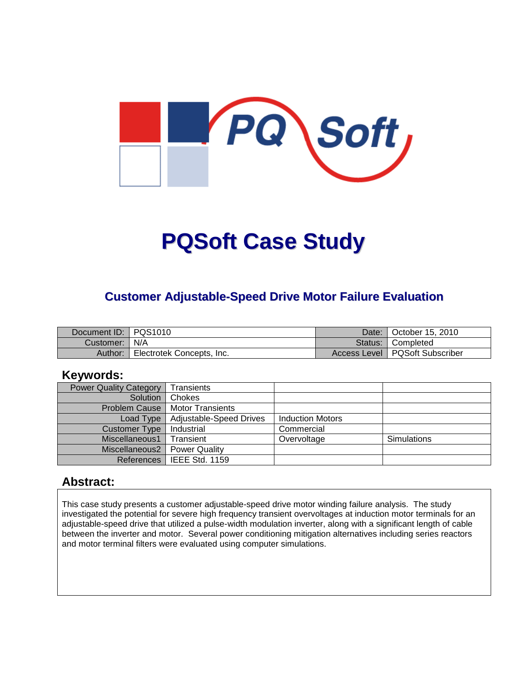

# **PQSoft Case Study**

## **Customer Adjustable-Speed Drive Motor Failure Evaluation**

| Document ID: PQS1010 |                           | Date: I | October 15, 2010                 |
|----------------------|---------------------------|---------|----------------------------------|
| Customer:   N/A      |                           |         | Status: Completed                |
| Author:              | Electrotek Concepts, Inc. |         | Access Level   PQSoft Subscriber |

#### **Keywords:**

| <b>Power Quality Category</b> | Transients              |                         |                    |
|-------------------------------|-------------------------|-------------------------|--------------------|
| Solution                      | Chokes                  |                         |                    |
| <b>Problem Cause</b>          | <b>Motor Transients</b> |                         |                    |
| Load Type                     | Adjustable-Speed Drives | <b>Induction Motors</b> |                    |
| <b>Customer Type</b>          | Industrial              | Commercial              |                    |
| Miscellaneous1                | Transient               | Overvoltage             | <b>Simulations</b> |
| Miscellaneous2                | <b>Power Quality</b>    |                         |                    |
| References                    | l IEEE Std. 1159        |                         |                    |

#### **Abstract:**

This case study presents a customer adjustable-speed drive motor winding failure analysis. The study investigated the potential for severe high frequency transient overvoltages at induction motor terminals for an adjustable-speed drive that utilized a pulse-width modulation inverter, along with a significant length of cable between the inverter and motor. Several power conditioning mitigation alternatives including series reactors and motor terminal filters were evaluated using computer simulations.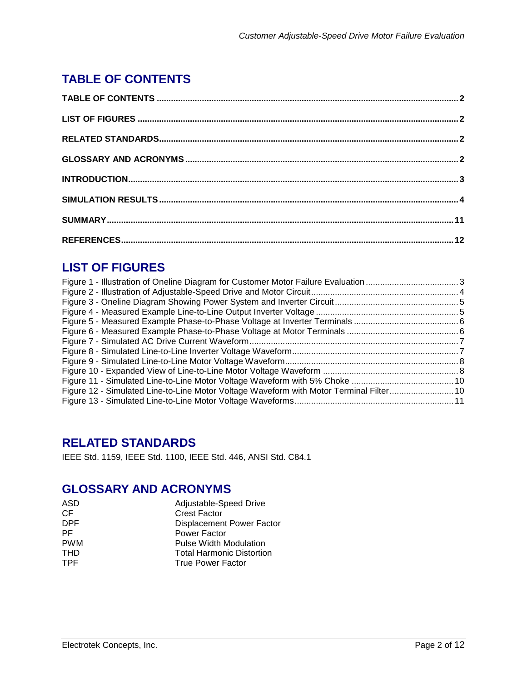# **TABLE OF CONTENTS**

# **LIST OF FIGURES**

| Figure 12 - Simulated Line-to-Line Motor Voltage Waveform with Motor Terminal Filter10 |  |
|----------------------------------------------------------------------------------------|--|
|                                                                                        |  |

# **RELATED STANDARDS**

IEEE Std. 1159, IEEE Std. 1100, IEEE Std. 446, ANSI Std. C84.1

# **GLOSSARY AND ACRONYMS**

| ASD        | Adjustable-Speed Drive           |
|------------|----------------------------------|
| СF         | <b>Crest Factor</b>              |
| <b>DPF</b> | <b>Displacement Power Factor</b> |
| PF         | Power Factor                     |
| <b>PWM</b> | <b>Pulse Width Modulation</b>    |
| THD        | <b>Total Harmonic Distortion</b> |
| TPF        | <b>True Power Factor</b>         |
|            |                                  |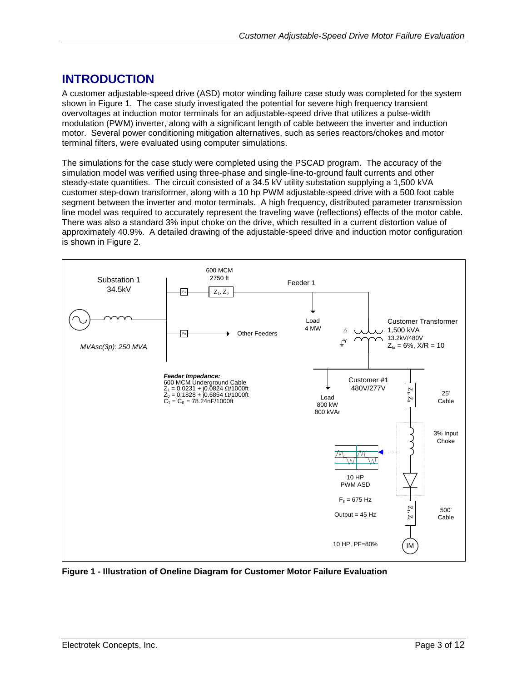## **INTRODUCTION**

A customer adjustable-speed drive (ASD) motor winding failure case study was completed for the system shown in [Figure 1.](#page-2-0) The case study investigated the potential for severe high frequency transient overvoltages at induction motor terminals for an adjustable-speed drive that utilizes a pulse-width modulation (PWM) inverter, along with a significant length of cable between the inverter and induction motor. Several power conditioning mitigation alternatives, such as series reactors/chokes and motor terminal filters, were evaluated using computer simulations.

The simulations for the case study were completed using the PSCAD program. The accuracy of the simulation model was verified using three-phase and single-line-to-ground fault currents and other steady-state quantities. The circuit consisted of a 34.5 kV utility substation supplying a 1,500 kVA customer step-down transformer, along with a 10 hp PWM adjustable-speed drive with a 500 foot cable segment between the inverter and motor terminals. A high frequency, distributed parameter transmission line model was required to accurately represent the traveling wave (reflections) effects of the motor cable. There was also a standard 3% input choke on the drive, which resulted in a current distortion value of approximately 40.9%. A detailed drawing of the adjustable-speed drive and induction motor configuration is shown in [Figure 2.](#page-3-0)



<span id="page-2-0"></span>**Figure 1 - Illustration of Oneline Diagram for Customer Motor Failure Evaluation**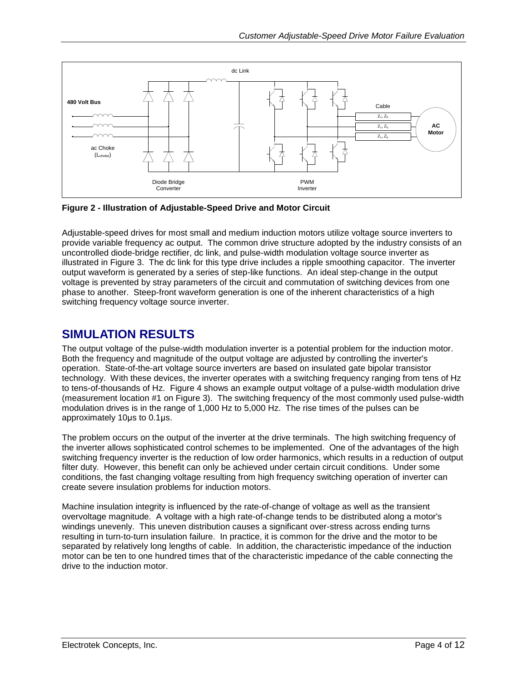

<span id="page-3-0"></span>**Figure 2 - Illustration of Adjustable-Speed Drive and Motor Circuit**

Adjustable-speed drives for most small and medium induction motors utilize voltage source inverters to provide variable frequency ac output. The common drive structure adopted by the industry consists of an uncontrolled diode-bridge rectifier, dc link, and pulse-width modulation voltage source inverter as illustrated in [Figure 3.](#page-4-0) The dc link for this type drive includes a ripple smoothing capacitor. The inverter output waveform is generated by a series of step-like functions. An ideal step-change in the output voltage is prevented by stray parameters of the circuit and commutation of switching devices from one phase to another. Steep-front waveform generation is one of the inherent characteristics of a high switching frequency voltage source inverter.

#### **SIMULATION RESULTS**

The output voltage of the pulse-width modulation inverter is a potential problem for the induction motor. Both the frequency and magnitude of the output voltage are adjusted by controlling the inverter's operation. State-of-the-art voltage source inverters are based on insulated gate bipolar transistor technology. With these devices, the inverter operates with a switching frequency ranging from tens of Hz to tens-of-thousands of Hz. [Figure 4](#page-4-1) shows an example output voltage of a pulse-width modulation drive (measurement location #1 on [Figure 3\)](#page-4-0). The switching frequency of the most commonly used pulse-width modulation drives is in the range of 1,000 Hz to 5,000 Hz. The rise times of the pulses can be approximately 10μs to 0.1μs.

The problem occurs on the output of the inverter at the drive terminals. The high switching frequency of the inverter allows sophisticated control schemes to be implemented. One of the advantages of the high switching frequency inverter is the reduction of low order harmonics, which results in a reduction of output filter duty. However, this benefit can only be achieved under certain circuit conditions. Under some conditions, the fast changing voltage resulting from high frequency switching operation of inverter can create severe insulation problems for induction motors.

Machine insulation integrity is influenced by the rate-of-change of voltage as well as the transient overvoltage magnitude. A voltage with a high rate-of-change tends to be distributed along a motor's windings unevenly. This uneven distribution causes a significant over-stress across ending turns resulting in turn-to-turn insulation failure. In practice, it is common for the drive and the motor to be separated by relatively long lengths of cable. In addition, the characteristic impedance of the induction motor can be ten to one hundred times that of the characteristic impedance of the cable connecting the drive to the induction motor.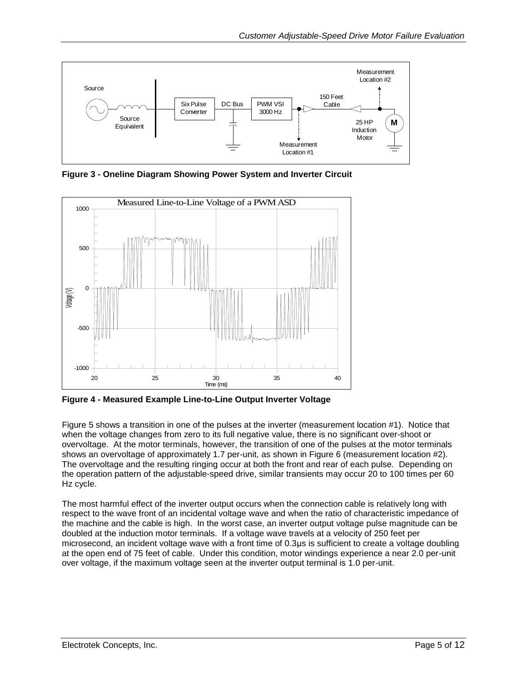

<span id="page-4-0"></span>**Figure 3 - Oneline Diagram Showing Power System and Inverter Circuit**



<span id="page-4-1"></span>**Figure 4 - Measured Example Line-to-Line Output Inverter Voltage**

[Figure 5](#page-5-0) shows a transition in one of the pulses at the inverter (measurement location #1). Notice that when the voltage changes from zero to its full negative value, there is no significant over-shoot or overvoltage. At the motor terminals, however, the transition of one of the pulses at the motor terminals shows an overvoltage of approximately 1.7 per-unit, as shown in [Figure 6](#page-5-1) (measurement location #2). The overvoltage and the resulting ringing occur at both the front and rear of each pulse. Depending on the operation pattern of the adjustable-speed drive, similar transients may occur 20 to 100 times per 60 Hz cycle.

The most harmful effect of the inverter output occurs when the connection cable is relatively long with respect to the wave front of an incidental voltage wave and when the ratio of characteristic impedance of the machine and the cable is high. In the worst case, an inverter output voltage pulse magnitude can be doubled at the induction motor terminals. If a voltage wave travels at a velocity of 250 feet per microsecond, an incident voltage wave with a front time of 0.3μs is sufficient to create a voltage doubling at the open end of 75 feet of cable. Under this condition, motor windings experience a near 2.0 per-unit over voltage, if the maximum voltage seen at the inverter output terminal is 1.0 per-unit.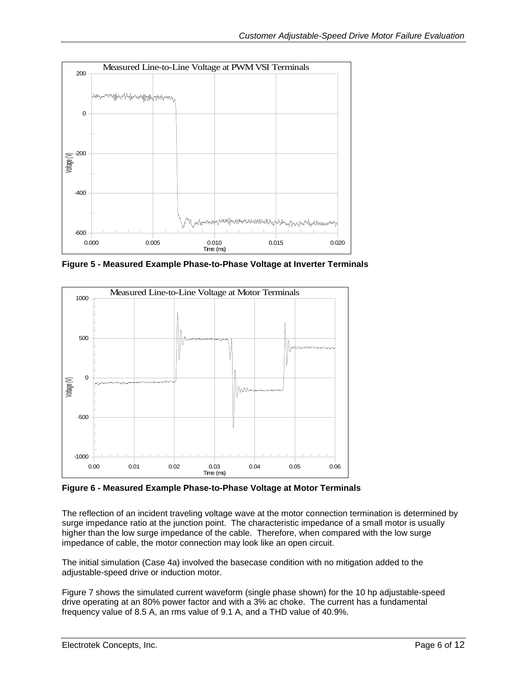

<span id="page-5-0"></span>**Figure 5 - Measured Example Phase-to-Phase Voltage at Inverter Terminals**



<span id="page-5-1"></span>**Figure 6 - Measured Example Phase-to-Phase Voltage at Motor Terminals**

The reflection of an incident traveling voltage wave at the motor connection termination is determined by surge impedance ratio at the junction point. The characteristic impedance of a small motor is usually higher than the low surge impedance of the cable. Therefore, when compared with the low surge impedance of cable, the motor connection may look like an open circuit.

The initial simulation (Case 4a) involved the basecase condition with no mitigation added to the adjustable-speed drive or induction motor.

[Figure 7](#page-6-0) shows the simulated current waveform (single phase shown) for the 10 hp adjustable-speed drive operating at an 80% power factor and with a 3% ac choke. The current has a fundamental frequency value of 8.5 A, an rms value of 9.1 A, and a THD value of 40.9%.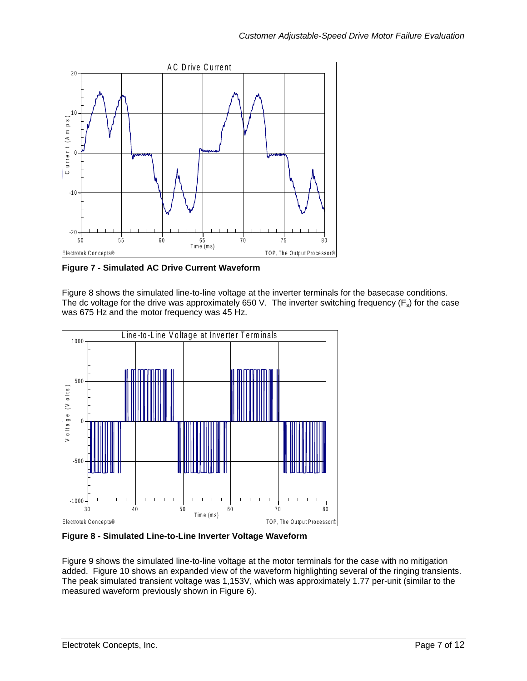

<span id="page-6-0"></span>**Figure 7 - Simulated AC Drive Current Waveform**

[Figure 8](#page-6-1) shows the simulated line-to-line voltage at the inverter terminals for the basecase conditions. The dc voltage for the drive was approximately 650 V. The inverter switching frequency ( $F_s$ ) for the case was 675 Hz and the motor frequency was 45 Hz.<br>
Line-to-Line Voltage at Inverter Terminals was 675 Hz and the motor frequency was 45 Hz.



<span id="page-6-1"></span>**Figure 8 - Simulated Line-to-Line Inverter Voltage Waveform**

[Figure 9](#page-7-0) shows the simulated line-to-line voltage at the motor terminals for the case with no mitigation added. [Figure 10](#page-7-1) shows an expanded view of the waveform highlighting several of the ringing transients. The peak simulated transient voltage was 1,153V, which was approximately 1.77 per-unit (similar to the measured waveform previously shown in [Figure 6\)](#page-5-1).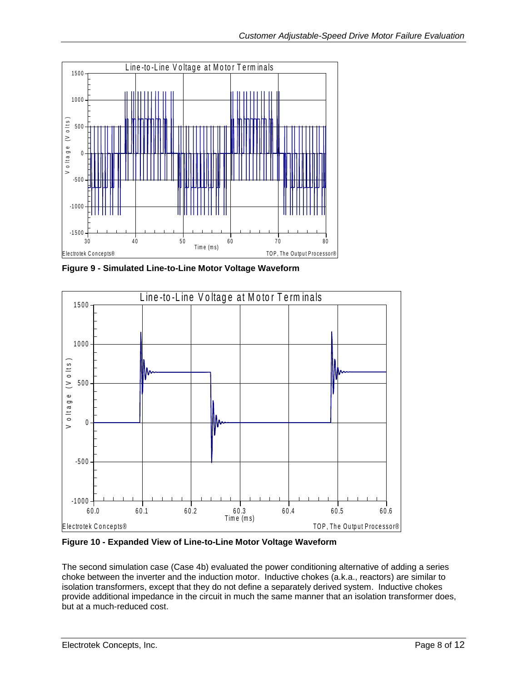

<span id="page-7-0"></span>**Figure 9 - Simulated Line-to-Line Motor Voltage Waveform**



<span id="page-7-1"></span>**Figure 10 - Expanded View of Line-to-Line Motor Voltage Waveform**

The second simulation case (Case 4b) evaluated the power conditioning alternative of adding a series choke between the inverter and the induction motor. Inductive chokes (a.k.a., reactors) are similar to isolation transformers, except that they do not define a separately derived system. Inductive chokes provide additional impedance in the circuit in much the same manner that an isolation transformer does, but at a much-reduced cost.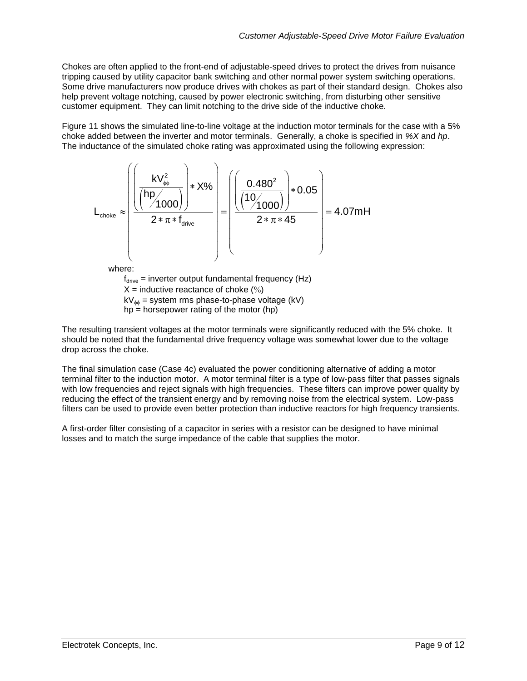Chokes are often applied to the front-end of adjustable-speed drives to protect the drives from nuisance tripping caused by utility capacitor bank switching and other normal power system switching operations. Some drive manufacturers now produce drives with chokes as part of their standard design. Chokes also help prevent voltage notching, caused by power electronic switching, from disturbing other sensitive customer equipment. They can limit notching to the drive side of the inductive choke.

[Figure 11](#page-9-0) shows the simulated line-to-line voltage at the induction motor terminals for the case with a 5% choke added between the inverter and motor terminals. Generally, a choke is specified in *%X* and *hp*. The inductance of the simulated choke rating was approximated using the following expression:



where:

 $f_{\text{drive}} =$  inverter output fundamental frequency (Hz)  $X =$  inductive reactance of choke  $(\%)$  $kV_{\phi\phi}$  = system rms phase-to-phase voltage (kV)  $hp =$  horsepower rating of the motor (hp)

The resulting transient voltages at the motor terminals were significantly reduced with the 5% choke. It should be noted that the fundamental drive frequency voltage was somewhat lower due to the voltage drop across the choke.

The final simulation case (Case 4c) evaluated the power conditioning alternative of adding a motor terminal filter to the induction motor. A motor terminal filter is a type of low-pass filter that passes signals with low frequencies and reject signals with high frequencies. These filters can improve power quality by reducing the effect of the transient energy and by removing noise from the electrical system. Low-pass filters can be used to provide even better protection than inductive reactors for high frequency transients.

A first-order filter consisting of a capacitor in series with a resistor can be designed to have minimal losses and to match the surge impedance of the cable that supplies the motor.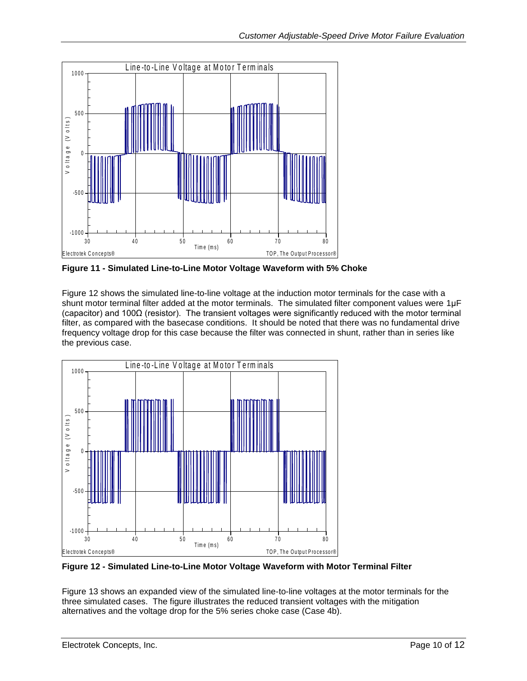

<span id="page-9-0"></span>**Figure 11 - Simulated Line-to-Line Motor Voltage Waveform with 5% Choke**

[Figure 12](#page-9-1) shows the simulated line-to-line voltage at the induction motor terminals for the case with a shunt motor terminal filter added at the motor terminals. The simulated filter component values were 1µF (capacitor) and 100Ω (resistor). The transient voltages were significantly reduced with the motor terminal filter, as compared with the basecase conditions. It should be noted that there was no fundamental drive The previous case.<br>
The previous case.<br>
The -to -Line Voltage at Motor Term in als the previous case.



<span id="page-9-1"></span>**Figure 12 - Simulated Line-to-Line Motor Voltage Waveform with Motor Terminal Filter**

[Figure 13](#page-10-0) shows an expanded view of the simulated line-to-line voltages at the motor terminals for the three simulated cases. The figure illustrates the reduced transient voltages with the mitigation alternatives and the voltage drop for the 5% series choke case (Case 4b).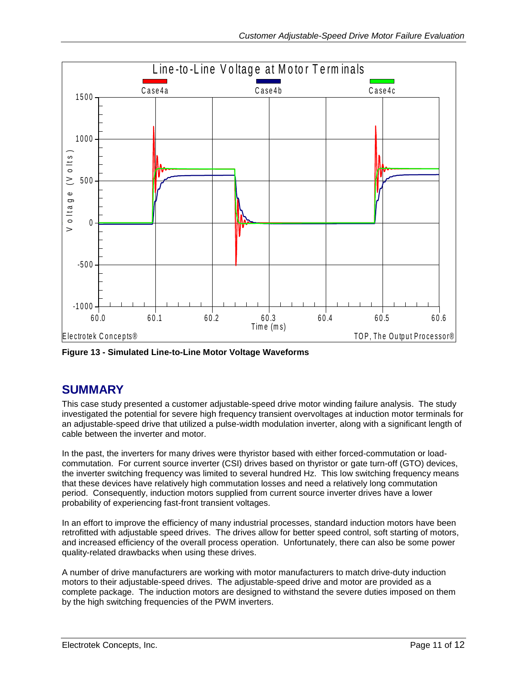

<span id="page-10-0"></span>**Figure 13 - Simulated Line-to-Line Motor Voltage Waveforms**

### **SUMMARY**

This case study presented a customer adjustable-speed drive motor winding failure analysis. The study investigated the potential for severe high frequency transient overvoltages at induction motor terminals for an adjustable-speed drive that utilized a pulse-width modulation inverter, along with a significant length of cable between the inverter and motor.

In the past, the inverters for many drives were thyristor based with either forced-commutation or loadcommutation. For current source inverter (CSI) drives based on thyristor or gate turn-off (GTO) devices, the inverter switching frequency was limited to several hundred Hz. This low switching frequency means that these devices have relatively high commutation losses and need a relatively long commutation period. Consequently, induction motors supplied from current source inverter drives have a lower probability of experiencing fast-front transient voltages.

In an effort to improve the efficiency of many industrial processes, standard induction motors have been retrofitted with adjustable speed drives. The drives allow for better speed control, soft starting of motors, and increased efficiency of the overall process operation. Unfortunately, there can also be some power quality-related drawbacks when using these drives.

A number of drive manufacturers are working with motor manufacturers to match drive-duty induction motors to their adjustable-speed drives. The adjustable-speed drive and motor are provided as a complete package. The induction motors are designed to withstand the severe duties imposed on them by the high switching frequencies of the PWM inverters.